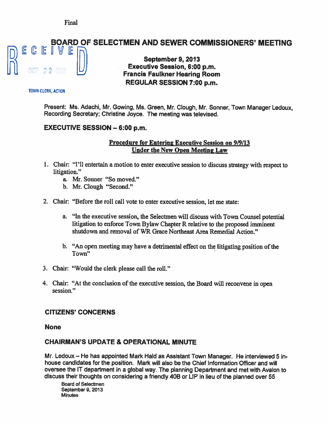# BOARD OF SELECTMEN AND SEWER COMMISSIONERS' MEETING E CEIVE

# September 9, 2013<br>Executive Session. 6:00 p.m. **Francis Faulkner Hearing Room.** REGULAR SESSION 7:00 p.m.

#### TOWN CLERK, ACTON

Present: Ms. Adachi, Mr. Gowing, Ms. Green, Mr. Clough, Mr. Sonner, Town Manager Ledoux, Recording Secretary; Christine Joyce. The meeting was televised.

## EXECUTIVE SESSION — 6:00 p.m.

#### Procedure for Entering Executive Session on 9/9/13 Under the New Open Meeting Law

- 1. Chair: "I'll entertain <sup>a</sup> motion to enter executive session to discuss strategy with respec<sup>t</sup> to litigation."
	- a. Mr. Sonner "So moved."
	- b. Mr. Clough "Second."
- 2. Chair: "Before the roll call vote to enter executive session, let me state:
	- a. "In the executive session, the Selectmen will discuss with Town Counsel potential litigation to enforce Town Bylaw Chapter <sup>R</sup> relative to the proposed imminent shutdown and removal of WR Grace Northeast Area Remedial Action."
	- b. "An open meeting may have a detrimental effect on the litigating position of the Town"
- 3. Chair: "Would the clerk please call the roll."
- 4. Chair: "At the conclusion of the executive session, the Board will reconvene in open session."

#### CITIZENS' CONCERNS

#### None

# CHAIRMAN'S UPDATE & OPERATIONAL MINUTE

Mr. Ledoux — He has appointed Mark Hald as Assistant Town Manager. He interviewed 5 inhouse candidates for the position. Mark will also be the Chief Information Officer and will oversee the IT department in <sup>a</sup> global way. The planning Department and met with Avalon to discuss their thoughts on considering <sup>a</sup> friendly 40B or LIP in lieu of the <sup>p</sup>lanned over 55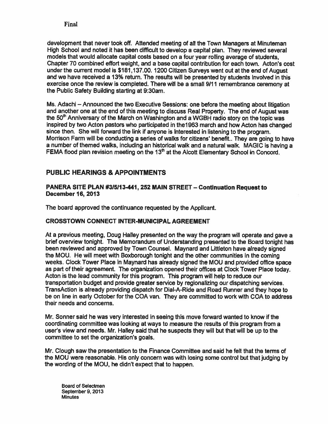development that never took off. Attended meeting of all the Town Managers at Minuteman High School and noted it has been difficult to develop <sup>a</sup> capital plan. They reviewed several models that would allocate capital costs based on <sup>a</sup> four year rolling average of students, Chapter 70 combined effort weight, and <sup>a</sup> base capital contribution for each town. Acton's cost under the current model is \$181,137.00. 1200 Citizen Surveys went out at the end of August and we have received <sup>a</sup> 13% return. The results will be presented by students involved in this exercise once the review is completed. There will be <sup>a</sup> small 9111 remembrance ceremony at the Public Safety Building starting at 9:30am.

Ms. Adachi — Announced the two Executive Sessions: one before the meeting about litigation and another one at the end of this meeting to discuss Real Property. The end of August was the 50<sup>th</sup> Anniversary of the March on Washington and a WGBH radio story on the topic was inspired by two Acton pastors who participated in thel 963 march and how Acton has changed since then. She will forward the link if anyone is interested in listening to the program. Morrison Farm will be conducting <sup>a</sup> series of walks for citizens' benefit.. They are going to have a number of themed walks, including an historical walk and a natural walk. MAGIC is having a FEMA flood plan revision meeting on the  $13<sup>th</sup>$  at the Alcott Elementary School in Concord.

## PUBLIC HEARINGS & APPOINTMENTS

#### PANERA SITE PLAN #315113-441, 252 MAIN STREET—Continuation Request to December 16, 2013

The board approved the continuance requested by the Applicant.

#### CROSSTOWN CONNECT INTER-MUNICIPAL AGREEMENT

At <sup>a</sup> previous meeting, Doug Halley presented on the way the program will operate and gave <sup>a</sup> brief overview tonight. The Memorandum of Understanding presented to the Board tonight has been reviewed and approved by Town Counsel. Maynard and Littleton have already signed the MOU. He will meet with Boxborough tonight and the other communities in the coming weeks. Clock Tower Place in Maynard has already signed the MOU and provided office space as par<sup>t</sup> of their agreement. The organization opened their offices at Clock Tower Place today. Acton is the lead community for this program. This program will help to reduce our transportation budget and provide greater service by regionalizing our dispatching services. TransAction is already providing dispatch for Dial-A-Ride and Road Runner and they hope to be on line in early October for the COA van. They are committed to work with COA to address their needs and concerns.

Mr. Sonner said he was very interested in seeing this move forward wanted to know if the coordinating committee was looking at ways to measure the results of this program from <sup>a</sup> user's view and needs. Mr. Halley said that he suspects they will but that will be up to the committee to set the organization's goals.

Mr. Clough saw the presentation to the Finance Committee and said he felt that the terms of the MOU were reasonable. His only concern was with losing some control but that judging by the wording of the MOU, he didn't expec<sup>t</sup> that to happen.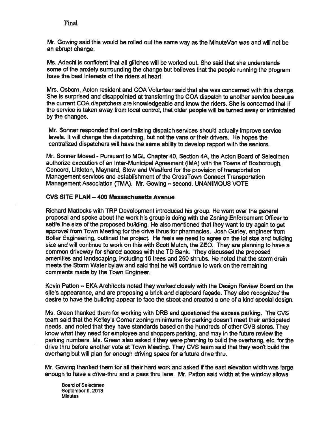Mr. Gowing said this would be rolled out the same way as the MinuteVan was and will not be an abrupt change.

Ms. Adachi is confident that all glitches will be worked out. She said that she understands some of the anxiety surrounding the change but believes that the people running the program have the best interests of the riders at heart.

Mrs. Osborn, Acton resident and COA Volunteer said that she was concerned with this change. She is surprised and disappointed at transferring the COA dispatch to another service because the current COA dispatchers are knowledgeable and know the riders. She is concerned that if the service is taken away from local control, that older people will be turned away or intimidated by the changes.

Mr. Sonner responded that centralizing dispatch services should actually improve service levels. It will change the dispatching, but not the vans or their drivers. He hopes the centralized dispatchers will have the same ability to develop rappor<sup>t</sup> with the seniors.

Mr. Sonner Moved - Pursuant to MGL Chapter 40, Section 4A, the Acton Board of Selectmen authorize execution of an Inter-Municipal Agreement (IMA) with the Towns of Boxborough, Concord, Lift leton, Maynard, Stow and Wesiford for the provision of transportation Management services and establishment of the CrossTown Connect Transportation Management Association (TMA). Mr. Gowing — second. UNANIMOUS VOTE

#### CVS SITE PLAN — 400 Massachusetts Avenue

Richard Mattocks with TRP Development introduced his group. He went over the general proposa<sup>l</sup> and spoke about the work his group is doing with the Zoning Enforcement Officer to settle the size of the proposed building. He also mentioned that they want to try again to ge<sup>t</sup> approval from Town Meeting for the drive thrus for pharmacies. Josh Gurley, engineer from BoIler Engineering, outlined the project. He feels we need to agree on the lot size and building size and will continue to work on this with Scott Mutch, the ZEO. They are planning to have a common driveway for shared access with the TO Bank. They discussed the proposed amenities and landscaping, including 16 trees and 250 shrubs. He noted that the storm drain meets the Storm Water bylaw and said that he will continue to work on the remaining comments made by the Town Engineer.

Kevin Patton — EKA Architects noted they worked closely with the Design Review Board on the site's appearance, and are proposing <sup>a</sup> brick and clapboard façade. They also recognized the desire to have the building appear to face the street and created <sup>a</sup> one of <sup>a</sup> kind special design.

Ms. Green thanked them for working with ORB and questioned the excess parking. The CVS team said that the Kelley's Corner zoning minimums for parking doesn't meet their anticipated needs, and noted that they have standards based on the hundreds of other CVS stores. They know what they need for employee and shoppers parking, and may in the future review the parking numbers, Ms. Green also asked if they were planning to build the overhang, etc. for the drive thru before another vote at Town Meeting. They CVS team said that they won't build the overhang but will plan for enough driving space for <sup>a</sup> future drive thru.

Mr. Gowing thanked them for all their hard work and asked if the east elevation width was large enough to have a drive-thru and a pass thru lane. Mr. Patton said width at the window allows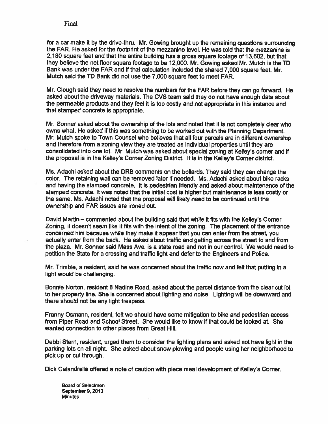for a car make it by the drive-thru. Mr. Gowing brought up the remaining questions surrounding the FAR. He asked for the footprint of the mezzanine level. He was told that the mezzanine is 2180 square feet and that the entire building has <sup>a</sup> gross square footage of 13.602, but that they believe the net floor square footage to be 12,000. Mr. Gowing asked Mr. Mutch is the TD Bank was under the FAR and if that calculation included the shared 7,000 square feet. Mr. Mutch said the TD Bank did not use the 7,000 square feet to meet FAR.

Mr. Clough said they need to resolve the numbers for the FAR before they can go forward. He asked about the driveway materials. The CVS team said they do not have enoug<sup>h</sup> data about the permeable products and they feel it is too costly and not appropriate in this instance and that stamped concrete is appropriate.

Mr. Sonner asked about the ownership of the lots and noted that it is not completely clear who owns what. He asked if this was something to be worked out with the Planning Department. Mr. Mutch spoke to Town Counsel who believes that all four parcels are in different ownership and therefore from <sup>a</sup> zoning view they are treated as individual properties until they are consolidated into one lot. Mr. Mutch was asked about special zoning at Kelley's corner and if the proposal is in the Kelley's Corner Zoning District. It is in the Kelley's Corner district.

Ms. Adachi asked about the DRB comments on the bollards. They said they can change the color. The retaining wall can be removed later if needed. Ms. Adachi asked about bike racks and having the stamped concrete. It is pedestrian friendly and asked about maintenance of the stamped concrete. It was noted that the initial cost is higher but maintenance is less costly or the sarne. Ms. Adachi noted that the proposal will likely need to be continued until the ownership and FAR issues are ironed out.

David Martin — commented about the building said that while it fits with the Kelley's Corner Zoning, it doesn't seem like it fits with the intent of the zoning. The placement of the entrance concerned him because while they make it appear that you can enter from the street, you actually enter from the back. He asked about traffic and getting across the street to and from the plaza. Mr. Sonner said Mass Ave. is <sup>a</sup> state road and not in our control. We would need to petition the State for <sup>a</sup> crossing and traffic light and defer to the Engineers and Police.

Mr. Trimble, a resident, said he was concerned about the traffic now and felt that putting in a light would be challenging.

Bonnie Norton, resident 8 Nadine Road, asked about the parcel distance from the clear cut lot to her property line. She is concerned about lighting and noise, Lighting will be downward and there should not be any light trespass.

Franny Osmann, resident, felt we should have some mitigation to bike and pedestrian access from Piper Road and School Street. She would like to know if that could be looked at. She wanted connection to other places from Great Hill.

Debbi Stern, resident, urged them to consider the lighting plans and asked not have light in the parking lots on all night. She asked about snow plowing and people using her neighborhood to pick up or cut through.

Dick Calandrella offered <sup>a</sup> note of caution with piece meal development of Kelley's Corner.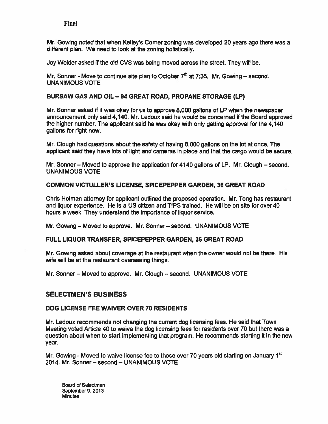Mr. Gowing noted that when Keiley's Corner zoning was developed 20 years ago there was <sup>a</sup> different plan. We need to look at the zoning holistically.

Joy Welder asked if the old CVS was being moved across the street. They will be.

Mr. Sonner - Move to continue site plan to October  $7<sup>th</sup>$  at 7:35. Mr. Gowing – second. UNANIMOUS VOTE

#### BURSAW GAS AND OIL —94 GREAT ROAD, PROPANE STORAGE (LP)

Mr. Sonner asked if it was okay for us to approve 8000 gallons of LP when the newspaper announcement only said 4,140. Mr. Ledoux said he would be concerned if the Board approved the higher number. The applicant said he was okay with only getting approval for the 4,140 gallons for right now.

Mr. Clough had questions about the safety of having 8,000 gallons on the lot at once. The applicant said they have lots of light and cameras in place and that the cargo would be secure.

Mr. Sonner — Moved to approve the application for 4140 gallons of LP. Mr. Clough — second. UNANIMOUS VOTE

#### COMMON VICTULLER'S LICENSE, SPICEPEPPER GARDEN, 36 GREAT ROAD

Chris Holman attorney for applicant outlined the proposed operation. Mr. Tong has restaurant and liquor experience. He is <sup>a</sup> US citizen and TIPS trained. He will be on site for over 40 hours <sup>a</sup> week. They understand the importance of liquor service.

Mr. Gowing — Moved to approve. Mr. Sonner — second. UNANIMOUS VOTE

#### FULL LIQUOR TRANSFER, SPICEPEPPER GARDEN, 36 GREAT ROAD

Mr. Gowing asked about coverage at the restaurant when the owner would not be there. His wife will be at the restaurant overseeing things.

Mr. Sonner — Moved to approve. Mr. Clough — second. UNANIMOUS VOTE

#### SELECTMEN'S BUSINESS

#### DOG LICENSE FEE WAIVER OVER 70 RESIDENTS

Mr. Ledoux recommends not changing the current dog licensing fees, He said that Town Meeting voted Article 40 to waive the dog licensing fees for residents over 70 but there was <sup>a</sup> question about when to start implementing that program. He recommends starting it in the new year.

Mr. Gowing - Moved to waive license fee to those over 70 years old starting on January 1<sup>st</sup> 2014. Mr. Sonner— second — UNANIMOUS VOTE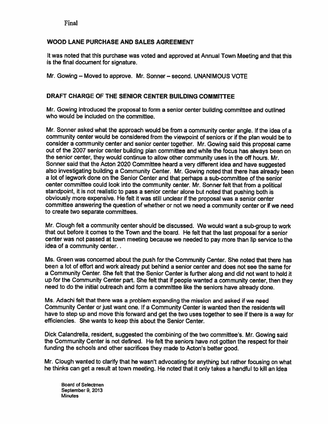#### WOOD LANE PURCHASE AND SALES AGREEMENT

It was noted that this purchase was voted and approved at Annual Town Meeting and that this is the final document for signature.

Mr. Cowing — Moved to approve. Mr. Sonner — second. UNANIMOUS VOTE

#### DRAFT CHARGE OF THE SENIOR CENTER BUILDING COMMITTEE

Mr. Cowing introduced the proposa<sup>l</sup> to form <sup>a</sup> senior center building committee and outlined who would be included on the committee.

Mr. Sonner asked what the approac<sup>h</sup> would be from <sup>a</sup> community center angle. If the idea of <sup>a</sup> community center would be considered from the viewpoint of seniors or if the <sup>p</sup>lan would be to consider <sup>a</sup> community center and senior center together. Mr. Cowing said this proposa<sup>l</sup> came out of the <sup>2007</sup> senior center building <sup>p</sup>lan committee and while the focus has always been on the senior center, they would continue to allow other community uses in the off hours. Mr. Sonner said that the Acton <sup>2020</sup> Committee heard <sup>a</sup> very different idea and have suggested also investigating building <sup>a</sup> Community Center. Mr. Cowing noted that there has already been <sup>a</sup> lot of legwork done on the Senior Center and that perhaps <sup>a</sup> sub-committee of the senior center committee could look into the community center. Mr. Sonner felt that from <sup>a</sup> political standpoint, it is not realistic to pass <sup>a</sup> senior center alone but noted that pushing both is obviously more expensive. He felt it was still unclear if the proposa<sup>l</sup> was <sup>a</sup> senior center committee answering the question of whether or not we need <sup>a</sup> community center or if we need to create two separate committees.

Mr. Clough felt <sup>a</sup> community center should be discussed. We would want <sup>a</sup> sub-group to work that out before it comes to the Town and the board. He felt that the last proposa<sup>l</sup> for <sup>a</sup> senior center was not passed at town meeting because we needed to pay more than lip service to the idea of <sup>a</sup> community center.

Ms. Green was concerned about the push for the Community Center. She noted that there has been <sup>a</sup> lot of effort and work already pu<sup>t</sup> behind <sup>a</sup> senior center and does not see the same for <sup>a</sup> Community Center. She felt that the Senior Center is further along and did not want to hold it up for the Community Center part. She felt that if people wanted <sup>a</sup> community center, then they need to do the initial outreach and form <sup>a</sup> committee like the seniors have already done.

Ms. Adachi felt that there was <sup>a</sup> problem expanding the mission and asked if we need Community Center or just want one. If <sup>a</sup> Community Center is wanted then the residents will have to step up and move this forward and ge<sup>t</sup> the two uses together to see if there is <sup>a</sup> way for efficiencies. She wants to keep this about the Senior Center.

Dick Calandrella, resident, suggested the combining of the two committee's. Mr. Gowing said the Community Center is not defined. He felt the seniors have not gotten the respec<sup>t</sup> for their funding the schools and other sacrifices they made to Acton's better good.

Mr. Clough wanted to clarify that he wasn't advocating for anything but rather focusing on what he thinks can ge<sup>t</sup> <sup>a</sup> result at town meeting. He noted that it only takes <sup>a</sup> handful to kill an idea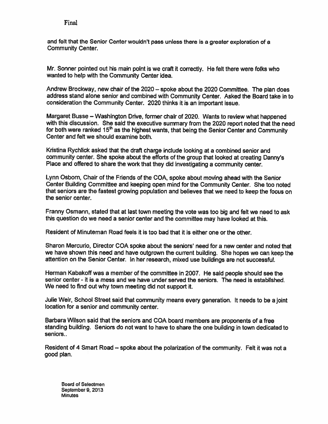and felt that the Senior Center wouldn't pass unless there is <sup>a</sup> greater exploration of <sup>a</sup> Community Center.

Mr. Sonner pointed out his main point is we craft ft correctly. He felt there were folks who wanted to help with the Community Center idea.

Andrew Brockway, new chair of the 2020— spoke about the <sup>2020</sup> Committee. The <sup>p</sup>lan does address stand alone senior and combined with Community Center. Asked the Board take in to consideration the Community Center. <sup>2020</sup> thinks it is an important issue.

Margaret Busse — Washington Drive, former chair of 2020. Wants to review what happened with this discussion. She said the executive summary from the <sup>2020</sup> repor<sup>t</sup> noted that the need for both were ranked  $15<sup>th</sup>$  as the highest wants, that being the Senior Center and Community Center and felt we should examine both.

Kristina Rychlick asked that the draft charge include looking at a combined senior and community center. She spoke about the efforts of the group that looked at creating Danny's Place and offered to share the work that they did investigating <sup>a</sup> community center.

Lynn Osbom, Chair of the Friends of the COA, spoke about moving ahead with the Senior Center Building Committee and keeping open mind for the Community Center. She too noted that seniors are the fastest growing population and believes that we need to keep the focus on the senior center.

Franny Osmann, stated that at last town meeting the vote was too big and felt we need to ask this question do we need <sup>a</sup> senior center and the committee may have looked at this.

Resident of Minuteman Road feels it is too bad that it is either one or the other.

Sharon Mercurio, Director COA spoke about the seniors' need for <sup>a</sup> new center and noted that we have shown this need and have outgrown the current building. She hopes we can keep the attention on the Senior Center. In her research, mixed use buildings are not successful.

Herman Kabakoff was <sup>a</sup> member of the committee in 2007. He said people should see the senior center - it is <sup>a</sup> mess and we have under served the seniors. The need is established. We need to find out why town meeting did not suppor<sup>t</sup> it.

Julie Weir, School Street said that community means every generation. It needs to be <sup>a</sup> joint location for <sup>a</sup> senior and community center.

Barbara Wilson said that the seniors and COA board members are proponents of <sup>a</sup> free standing building. Seniors do not want to have to share the one building in town dedicated to seniors..

Resident of <sup>4</sup> Smart Road — spoke about the polarization of the community. Felt it was not <sup>a</sup> good plan.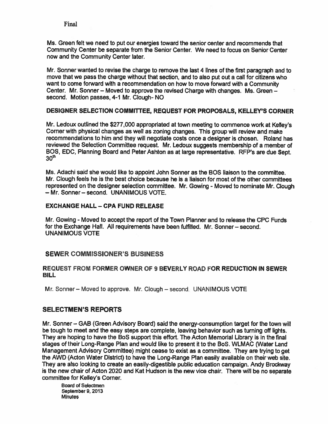Ms. Green felt we need to pu<sup>t</sup> our energies toward the senior center and recommends that Community Center be separate from the Senior Center We need to focus on Senior Center now and the Community Center later

Mr. Sonner wanted to revise the charge to remove the last 4 lines of the first paragraph and to move that we pass the charge without that section, and to also pu<sup>t</sup> out <sup>a</sup> call for citizens who want to come forward with <sup>a</sup> recommendation on how to move forward with <sup>a</sup> Community Center. Mr. Sonner — Moved to approve the revised Charge with changes. Ms. Green second. Motion passes, 4-1 Mr. Clough- NO

#### DESIGNER SELECTION COMMITTEE, REQUEST FOR PROPOSALS, KELLEY'S CORNER

Mr. Ledoux outlined the \$277,000 appropriated at town meeting to commence work at Kelley's Corner with <sup>p</sup>hysical changes as well as zoning changes. This group will review and make recommendations to him and they will negotiate costs once <sup>a</sup> designer is chosen. Roland has reviewed the Selection Committee request. Mr. Ledoux suggests membership of <sup>a</sup> member of BOS, EDC, Planning Board and Peter Ashton as at large representative. RFP's are due Sept.<br>30<sup>th</sup>

Ms. Adachi said she would like to appoint John Sonner as the SOS liaison to the committee. Mr. Clough feels he is the best choice because he is <sup>a</sup> liaison for most of the other committees represented on the designer selection committee. Mr. Gowing - Moved to nominate Mr Clough — Mr. Sonner — second. UNANIMOUS VOTE.

#### EXCHANGE HALL — CPA FUND RELEASE

Mr. Gowing - Moved to accep<sup>t</sup> the repor<sup>t</sup> of the Town Planner and to release the CPC Funds for the Exchange Hall. All requirements have been fulfilled. Mr. Sonner - second. UNANIMOUS VOTE

#### SEWER COMMISSIONER'S BUSINESS

#### REQUEST FROM FORMER OWNER OF 9 BEVERLY ROAD FOR REDUCTION IN SEWER BILL

Mr. Sonner - Moved to approve. Mr. Clough - second. UNANIMOUS VOTE

#### **SELECTMEN'S REPORTS**

Mr. Sonner — GAB (Green Advisory Board) said the energy-consumption target for the town will be tough to meet and the easy steps are complete, leaving behavior such as turning off lights. They are hoping to have the SoS suppor<sup>t</sup> this effort. The Acton Memorial Library is in the final stages of their Long-Range Plan and would like to presen<sup>t</sup> it to the BoS. WLMAC (Water Land Management Advisory Committee) might cease to exist as <sup>a</sup> committee. They are trying to ge<sup>t</sup> the AWO (Acton Water District) to have the Long-Range Plan easily available on their web site. They are also looking to create an easily-digestible public education campaign. Andy Brockway is the new chair of Acton 2020 and Kat Hudson is the new vice chair. There will be no separate committee for Kelley's Corner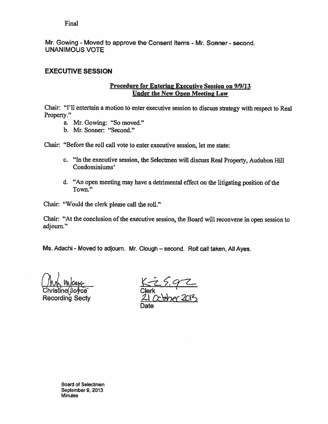Mr. Gowing - Moved to approve the Consent Items - Mr. Sonner - second. UNANIMOUS VOTE

### EXECUTIVE SESSION

#### Procedure for Entering Executive Session on 9/9/13 Under the New Open Meeting Law

Chair: "I'll entertain <sup>a</sup> motion to enter executive session to discuss strategy with respec<sup>t</sup> to Real Property."

- a. Mr. Gowing: "So moved."
- b. Mr. Sonner: "Second."

Chair: "Before the roll call vote to enter executive session, let me state:

- c. "In the executive session, the Selectmen will discuss Real Property, Audubon Hill Condominiums'
- d. "An open meeting may have <sup>a</sup> detrimental effect on the litigating position of the Town."

Chair: "Would the clerk please call the roll."

Chair: "At the conclusion of the executive session, the Board will reconvene in open session to adjourn."

Ms. Adachi - Moved to adjourn. Mr. Clough - second. Roll call taken, All Ayes.

hristine(*|*Joyce Clerk Recording Secty

Date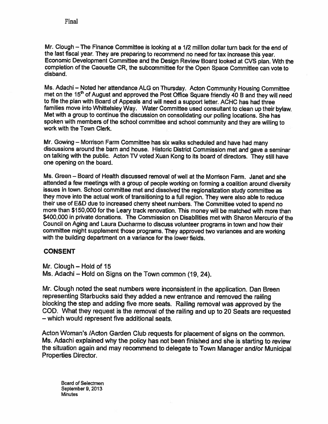Mr. Clough — The Finance Committee is looking at <sup>a</sup> 1/2 million dollar turn back for the end of the last fiscal year. They are preparing to recommend no need for tax increase this year. Economic Development Committee and the Design Review Board looked at CVS <sup>p</sup>lan. With the completion of the Caouette CR, the subcommittee for the Open Space Committee can vote to disband.

Ms. Adachi — Noted her attendance ALG on Thursday. Acton Community Housing Committee met on the 15<sup>th</sup> of August and approved the Post Office Square friendly 40 B and they will need to file the plan with Board of Appeals and will need a support letter. ACHC has had three<br>families move into Whittelsley Way. Water Committee used consultant to clean up their bylaw. Met with a group to continue the discussion on consolidating our polling locations. She has spoken with members of the school committee and school community and they are willing to work with the Town Clerk.

Mr. Gowing — Morrison Farm Committee has six walks scheduled and have had many discussions around the barn and house. Historic District Commission met and gave <sup>a</sup> seminar on talking with the public. Acton TV voted Xuan Kong to its board of directors. They still have one opening on the board.

Ms. Green — Board of Health discussed removal of well at the Morrison Farm. Janet and she attended <sup>a</sup> few meetings with <sup>a</sup> group of people working on forming <sup>a</sup> coalition around diversity issues in town. School committee met and dissolved the regionalizaflon study committee as they move into the actual work of transitioning to <sup>a</sup> full region. They were also able to reduce their use of E&D due to increased cherry sheet numbers. The Committee voted to spend no more than \$150,000 for the Leary track renovation. This money will be matched with more than \$400,000 in private donations. The Commission on Disabilities met with Sharon Mercurio of the Council on Aging and Laura Ducharme to discuss volunteer programs in town and how their committee might supplement those programs. They approved two variances and are working with the building department on <sup>a</sup> variance for the lower fields.

#### CONSENT

Mr. Clough — Hold of 15 Ms. Adachi — Hold on Signs on the Town common (19, 24).

Mr. Clough noted the seat numbers were inconsistent in the application. Dan Breen representing Starbucks said they added <sup>a</sup> new entrance and removed the railing blocking the step and adding five more seats. Railing removal was approved by the COD. What they request is the removal of the railing and up to <sup>20</sup> Seats are requested — which would represent five additional seats.

Acton Woman's /Acton Garden Club requests for <sup>p</sup>lacement of signs on the common. Ms. Adachi explained why the policy has not been finished and she is starting to review the situation again and may recommend to delegate to Town Manager and/or Municipal Properties Director.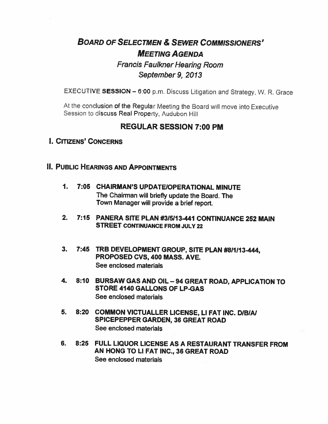# BOARD OF SELECTMEN & SEWER COMMISSIONERS' MEETING AGENDA Francis Faulkner Hearing Room September 9, 2013

EXECUTIVE SESSION — 6:00 p.m. Discuss Litigation and Strategy, W. R. Grace

At the conclusion of the Regular Meeting the Board wilt move into Executive Session to discuss Real Property, Audubon Hill

# REGULAR SESSION 7:00 PM

# I. CITIZENS' CONCERNS

- **II. PUBLIC HEARINGS AND APPOINTMENTS** 
	- 1. 7:05 CHAIRMAN'S UPDATEIOPERATIONAL MINUTE The Chairman will briefly update the Board. The Town Manager will provide <sup>a</sup> brief report.
	- 2. 7:15 PANERA SITE PLAN #315113-441 CONTINUANCE 252 MAIN STREET CONTINUANCE FROM JULY 22
	- 3. 7:45 TRB DEVELOPMENT GROUP, SITE PLAN #811113 444, PROPOSED CVS, 400 MASS. AVE. See enclosed materials
	- 4. 8:10 BURSAW GAS AND OIL— 94 GREAT ROAD, APPLICATION TO STORE 4140 GALLONS OF LP-GAS See enclosed materials
	- 5. 8:20 COMMON VICTUALLER LICENSE, LI FAT INC. DIBIAI SPICEPEPPER GARDEN, 36 GREAT ROAD See enclosed materials
	- 6. 8:25 FULL LIQUOR LICENSE AS A RESTAURANT TRANSFER FROM AN HONG TO LI FAT INC., 36 GREAT ROAD See enclosed materials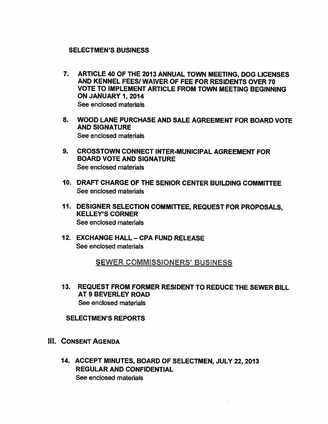#### SELECTMEN'S BUSINESS

- 7. ARTICLE 40 OF THE 2013 ANNUAL TOWN MEETING, DOG LICENSES AND KENNEL FEES! WAIVER OF FEE FOR RESIDENTS OVER 70 VOTE TO IMPLEMENT ARTICLE FROM TOWN MEETING BEGINNING ON JANUARY 1, 2014 See enclosed materials
- 8. WOOD LANE PURCHASE AND SALE AGREEMENT FOR BOARD VOTE AND SIGNATURE See enclosed materials
- 9. CROSSTOWN CONNECT INTER-MUNICIPAL AGREEMENT FOR BOARD VOTE AND SIGNATURE See enclosed materials
- 10. DRAFT CHARGE OF THE SENIOR CENTER BUILDING COMMITtEE See enclosed materials
- 11. DESIGNER SELECTION COMMITTEE, REQUEST FOR PROPOSALS, KELLEY'S CORNER See enclosed materials
- 12. EXCHANGE HALL CPA FUND RELEASE See enclosed materials

SEWER COMMISSIONERS' BUSINESS

13. REQUEST FROM FORMER RESIDENT TO REDUCE THE SEWER BILL AT 9 BEVERLEY ROAD See enclosed materials

SELECTMEN'S REPORTS

- III. CONSENT AGENDA
	- 14. ACCEPT MINUTES, BOARD OF SELECTMEN, JULY 22, 2013 REGULAR AND CONFIDENTIAL See enclosed materials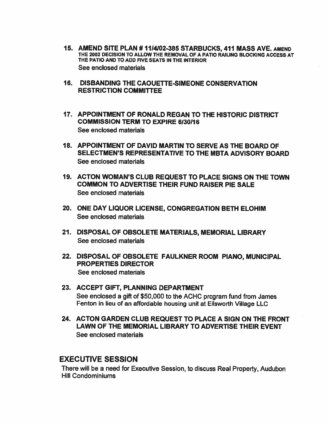- 15. AMEND SITE PLAN # 1114102-385 STARBUCKS, 411 MASS AVE. AMEND THE 2002 DECISION TO ALLOW THE REMOVAL OF A PATIO RAILING BLOCKING ACCESS AT THE PATIO AND TO ADD FIVE SEATS IN ThE INTERIOR See enclosed materials
- 16. DISBANDING THE CAOUETTE-SIMEONE CONSERVATION RESTRICTION COMMITtEE
- 17. APPOINTMENT OF RONALD REGAN TO THE HISTORIC DISTRICT COMMISSION TERM TO EXPIRE 6130116 See enclosed materials
- 18. APPOINTMENT OF DAVID MARTIN TO SERVE AS THE BOARD OF SELECTMEN'S REPRESENTATIVE TO THE MBTA ADVISORY BOARD See enclosed materials
- 19. ACTON WOMAN'S CLUB REQUEST TO PLACE SIGNS ON THE TOWN COMMON TO ADVERTISE THEIR FUND RAISER PIE SALE See enclosed materials
- 20. ONE DAY LIQUOR LICENSE, CONGREGATION BETH ELOHIM See enclosed materials
- 21. DISPOSAL OF OBSOLETE MATERIALS, MEMORIAL LIBRARY See enclosed materials
- 22. DISPOSAL OF OBSOLETE FAULKNER ROOM PIANO, MUNICIPAL PROPERTIES DIRECTOR See enclosed materials
- 23. ACCEPT GIFT, PLANNING DEPARTMENT See enclosed <sup>a</sup> gift of \$50,000 to the ACHC program fund from James Fenton in lieu of an affordable housing unit at Ellsworth Village LLC
- 24. ACTON GARDEN CLUB REQUEST TO PLACE A SIGN ON THE FRONT LAWN OF THE MEMORIAL LIBRARY TO ADVERTISE THEIR EVENT See enclosed materials

# EXECUTIVE SESSION

There will be <sup>a</sup> need for Executive Session, to discuss Real Property, Audubon Hill Condominiums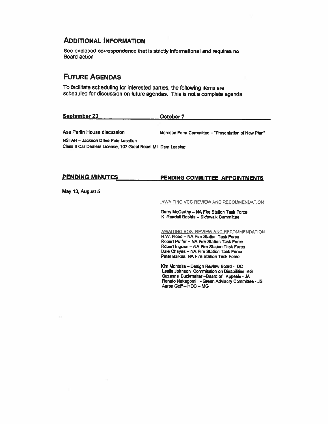#### ADDITIONAL INFORMATION

See enclosed correspondence that is strictly informational and requires no Board action

# FUTURE AGENDAS

To facilitate scheduling for interested parties, the following items are scheduled for discussion on future agendas. This is not <sup>a</sup> complete agenda

| September 23<br>---<br>--- | October 7<br>------- | . |        |
|----------------------------|----------------------|---|--------|
|                            |                      | . | ------ |
|                            |                      |   |        |

Asa Parlin House discussion Morrison Farm Committee - "Presentation of New Plan"

NSTAR — Jackson Drive Pole Location class II car Dealers License, <sup>107</sup> Great Road, Mill Dam Leasing

#### PENDING MINUTES PENDING COMMITTEE APPOINTMENTS

May 13, August <sup>5</sup>

AWAITING VCC REVIEW AND RECOMMENDATION

Gany Mccarthy— NA Fire Station Task Force K. Randall Bashta - Sidewalk Committee

AWAITING BOS REVIEW AND RECOMMENDATION H.W. Flood - NA Fire Station Task Force Robert Puffer — NA Fire Station Task Force Robert Ingram — NA Fire Station Task Force Dale Chayes — NA Fire Station Task Force Peter Balkus, NA Fire Station Task Force

Kim Montefla — Design Review Board- DC Leslie Johnson Commission on Disabilities KG Suzanne Buckmefter —Board of Appeals -JA Renato Nakagomi -Green Advisory Committee -JS Aaron Gaff— MDC — MG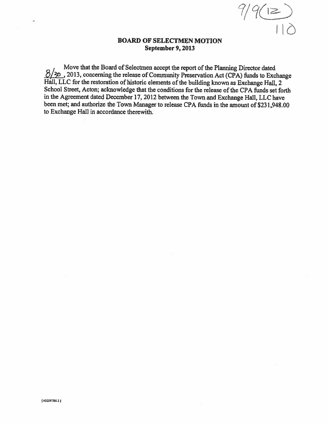$9(12)$ 

#### BOARD OF SELECTMEN MOTION September 9, 2013

Move that the Board of Selectmen accept the report of the Planning Director dated 2013, concerning the release of Community Preservation Act (CPA) funds to Exchange Hall, LLC for the restoration of historic elements of the building known as Exchange Hall, 2 School Street, Acton; acknowledge that the conditions for the release of the CPA fimds set forth in the Agreement dated December 17, <sup>2012</sup> between the Town and Exchange Hall, LLC have been met; and authorize the Town Manager to release CPA funds in the amount of \$231,948.00 to Exchange Hall in accordance therewith.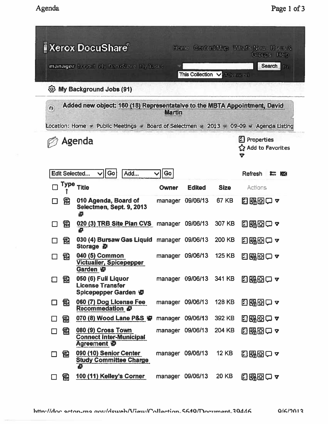|                                                                   | <b>I</b> Xerox DocuShare®<br>manager Logord My DocuShare My Tasks                            |               |                  |               | Home Content Map What's New Users &<br>Groups Help<br><b>Search</b><br>In. |  |  |  |
|-------------------------------------------------------------------|----------------------------------------------------------------------------------------------|---------------|------------------|---------------|----------------------------------------------------------------------------|--|--|--|
| This Collection V<br>Advanced<br><b>@ My Background Jobs (91)</b> |                                                                                              |               |                  |               |                                                                            |  |  |  |
| $\bullet$                                                         | Added new object: 160 (18) Representataive to the MBTA Appointment, David                    | <b>Martin</b> |                  |               |                                                                            |  |  |  |
|                                                                   | Location: Home $\pi$ Public Meetings » Board of Selectmen » 2013 $\#$ 09-09 » Agenda Listing |               |                  |               |                                                                            |  |  |  |
|                                                                   | Agenda                                                                                       |               |                  |               | Properties<br><b>企 Add to Favorites</b><br>7                               |  |  |  |
|                                                                   | Edit Selected<br>  Go<br>Add                                                                 | Go            |                  |               | Refresh<br>E M                                                             |  |  |  |
|                                                                   | Type Title                                                                                   | <b>Owner</b>  | <b>Edited</b>    | <b>Size</b>   | Actions                                                                    |  |  |  |
| 冠                                                                 | 010 Agenda, Board of<br>Selectmen, Sept. 9, 2013<br>₿                                        | manager       | 09/06/13         | 67 KB         | 日邸因口~                                                                      |  |  |  |
| 园                                                                 | 020 (3) TRB Site Plan CVS manager 09/06/13<br>e                                              |               |                  | 307 KB        | 日昭田白~                                                                      |  |  |  |
| 乱                                                                 | 030 (4) Bursaw Gas Liquid manager 09/06/13<br><b>Storage 日</b>                               |               |                  | 200 KB        | 国邸団口~                                                                      |  |  |  |
| 氝                                                                 | 040 (5) Common<br>Victualler, Spicepepper<br>Garden 中                                        | manager       | 09/06/13         | <b>125 KB</b> | 日邸図ロャ                                                                      |  |  |  |
| 司                                                                 | 050 (6) Full Liquor<br><b>License Transfer</b><br>Spicepepper Garden 中                       |               | manager 09/06/13 | 341 KB        | 国邸田口~                                                                      |  |  |  |
| 瓰<br>П                                                            | 060 (7) Dog License Fee<br>Recommedation &                                                   | manager       | 09/06/13         | <b>128 KB</b> | 出路的一~                                                                      |  |  |  |
| 勖                                                                 | 070 (8) Wood Lane P&S 中                                                                      |               | manager 09/06/13 | 392 KB        | 日昭函口~                                                                      |  |  |  |
| 旵<br>П                                                            | 080 (9) Cross Town<br><b>Connect Inter-Municipal</b><br>Agreement &                          | manager       | 09/06/13         | 204 KB        | 85880 ?                                                                    |  |  |  |
| 司<br>□                                                            | 090 (10) Senior Center<br><b>Study Committee Charge</b><br>ē                                 | manager       | 09/06/13         | <b>12 KB</b>  | 出邸四口~                                                                      |  |  |  |
| 园<br>П                                                            | 100 (11) Kelley's Corner                                                                     | manager       | 09/06/13         | 20 KB         | 日昭田口~                                                                      |  |  |  |